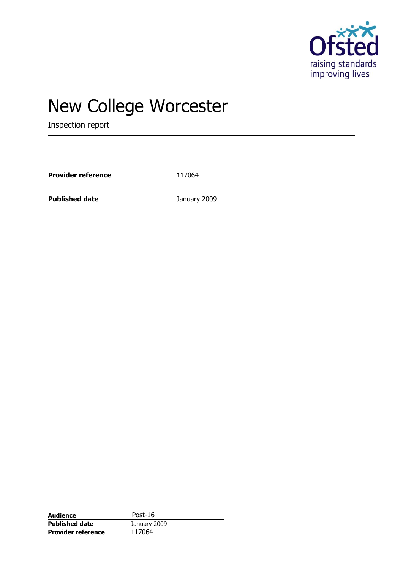

# New College Worcester

Inspection report

Provider reference 117064

**Published date** January 2009

| Audience                  | Post- $16$   |  |
|---------------------------|--------------|--|
| <b>Published date</b>     | January 2009 |  |
| <b>Provider reference</b> | 117064       |  |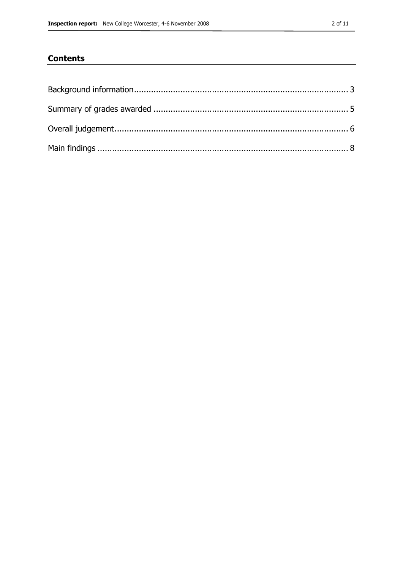### **Contents**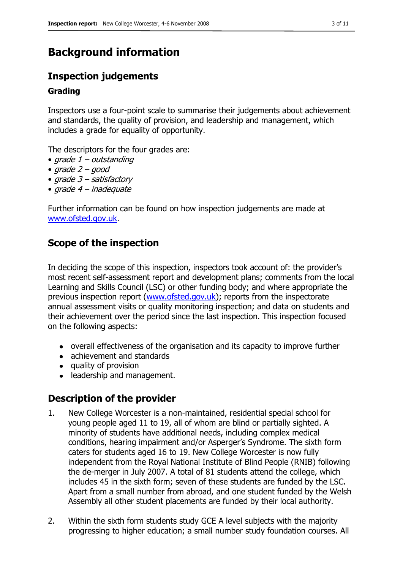## <span id="page-2-0"></span>**Background information**

### **Inspection judgements**

#### **Grading**

Inspectors use a four-point scale to summarise their judgements about achievement and standards, the quality of provision, and leadership and management, which includes a grade for equality of opportunity.

The descriptors for the four grades are:

- $grade 1 outside$
- grade  $2 good$
- grade 3 satisfactory
- grade 4 inadequate

Further information can be found on how inspection judgements are made at [www.ofsted.gov.uk.](http://www.ofsted.gov.uk/)

### **Scope of the inspection**

In deciding the scope of this inspection, inspectors took account of: the provider's most recent self-assessment report and development plans; comments from the local Learning and Skills Council (LSC) or other funding body; and where appropriate the previous inspection report [\(www.ofsted.gov.uk\)](http://www.ofsted.gov.uk/); reports from the inspectorate annual assessment visits or quality monitoring inspection; and data on students and their achievement over the period since the last inspection. This inspection focused on the following aspects:

- overall effectiveness of the organisation and its capacity to improve further
- achievement and standards
- quality of provision
- leadership and management.

### **Description of the provider**

- 1. New College Worcester is a non-maintained, residential special school for young people aged 11 to 19, all of whom are blind or partially sighted. A minority of students have additional needs, including complex medical conditions, hearing impairment and/or Asperger's Syndrome. The sixth form caters for students aged 16 to 19. New College Worcester is now fully independent from the Royal National Institute of Blind People (RNIB) following the de-merger in July 2007. A total of 81 students attend the college, which includes 45 in the sixth form; seven of these students are funded by the LSC. Apart from a small number from abroad, and one student funded by the Welsh Assembly all other student placements are funded by their local authority.
- 2. Within the sixth form students study GCE A level subjects with the majority progressing to higher education; a small number study foundation courses. All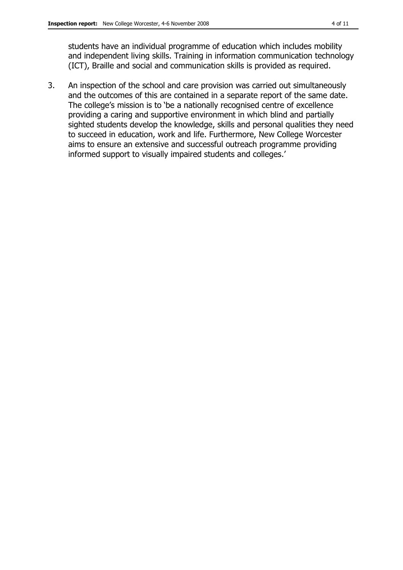students have an individual programme of education which includes mobility and independent living skills. Training in information communication technology (ICT), Braille and social and communication skills is provided as required.

3. An inspection of the school and care provision was carried out simultaneously and the outcomes of this are contained in a separate report of the same date. The college's mission is to 'be a nationally recognised centre of excellence providing a caring and supportive environment in which blind and partially sighted students develop the knowledge, skills and personal qualities they need to succeed in education, work and life. Furthermore, New College Worcester aims to ensure an extensive and successful outreach programme providing informed support to visually impaired students and colleges.'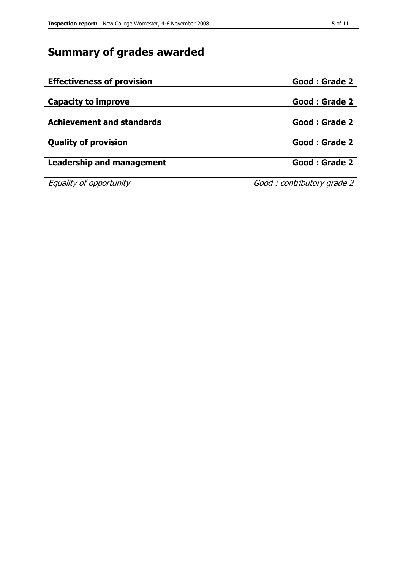# <span id="page-4-0"></span>**Summary of grades awarded**

| <b>Effectiveness of provision</b> | Good: Grade 2              |
|-----------------------------------|----------------------------|
|                                   |                            |
| <b>Capacity to improve</b>        | Good: Grade 2              |
|                                   |                            |
| <b>Achievement and standards</b>  | Good: Grade 2              |
|                                   |                            |
| <b>Quality of provision</b>       | Good: Grade 2              |
|                                   |                            |
| Leadership and management         | Good: Grade 2              |
|                                   |                            |
| Equality of opportunity           | Good: contributory grade 2 |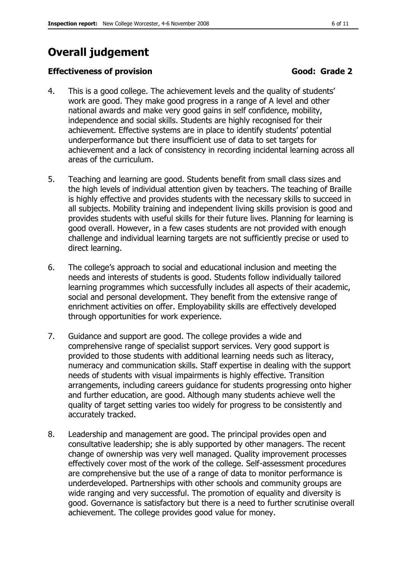# <span id="page-5-0"></span>**Overall judgement**

#### **Effectiveness of provision** Good: Grade 2

- 4. This is a good college. The achievement levels and the quality of students' work are good. They make good progress in a range of A level and other national awards and make very good gains in self confidence, mobility, independence and social skills. Students are highly recognised for their achievement. Effective systems are in place to identify students' potential underperformance but there insufficient use of data to set targets for achievement and a lack of consistency in recording incidental learning across all areas of the curriculum.
- 5. Teaching and learning are good. Students benefit from small class sizes and the high levels of individual attention given by teachers. The teaching of Braille is highly effective and provides students with the necessary skills to succeed in all subjects. Mobility training and independent living skills provision is good and provides students with useful skills for their future lives. Planning for learning is good overall. However, in a few cases students are not provided with enough challenge and individual learning targets are not sufficiently precise or used to direct learning.
- 6. The college's approach to social and educational inclusion and meeting the needs and interests of students is good. Students follow individually tailored learning programmes which successfully includes all aspects of their academic, social and personal development. They benefit from the extensive range of enrichment activities on offer. Employability skills are effectively developed through opportunities for work experience.
- 7. Guidance and support are good. The college provides a wide and comprehensive range of specialist support services. Very good support is provided to those students with additional learning needs such as literacy, numeracy and communication skills. Staff expertise in dealing with the support needs of students with visual impairments is highly effective. Transition arrangements, including careers guidance for students progressing onto higher and further education, are good. Although many students achieve well the quality of target setting varies too widely for progress to be consistently and accurately tracked.
- 8. Leadership and management are good. The principal provides open and consultative leadership; she is ably supported by other managers. The recent change of ownership was very well managed. Quality improvement processes effectively cover most of the work of the college. Self-assessment procedures are comprehensive but the use of a range of data to monitor performance is underdeveloped. Partnerships with other schools and community groups are wide ranging and very successful. The promotion of equality and diversity is good. Governance is satisfactory but there is a need to further scrutinise overall achievement. The college provides good value for money.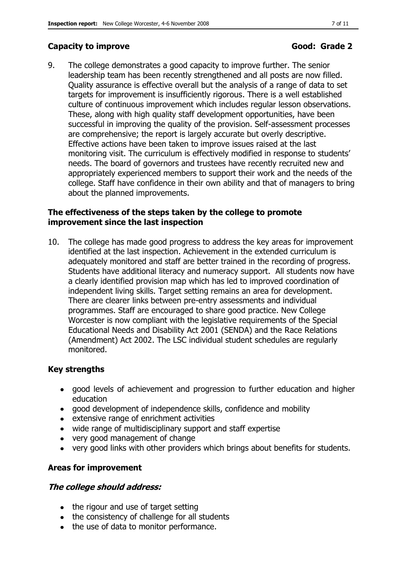### **Capacity to improve Good: Grade 2**

9. The college demonstrates a good capacity to improve further. The senior leadership team has been recently strengthened and all posts are now filled. Quality assurance is effective overall but the analysis of a range of data to set targets for improvement is insufficiently rigorous. There is a well established culture of continuous improvement which includes regular lesson observations. These, along with high quality staff development opportunities, have been successful in improving the quality of the provision. Self-assessment processes are comprehensive; the report is largely accurate but overly descriptive. Effective actions have been taken to improve issues raised at the last monitoring visit. The curriculum is effectively modified in response to students' needs. The board of governors and trustees have recently recruited new and appropriately experienced members to support their work and the needs of the college. Staff have confidence in their own ability and that of managers to bring about the planned improvements.

#### **The effectiveness of the steps taken by the college to promote improvement since the last inspection**

10. The college has made good progress to address the key areas for improvement identified at the last inspection. Achievement in the extended curriculum is adequately monitored and staff are better trained in the recording of progress. Students have additional literacy and numeracy support. All students now have a clearly identified provision map which has led to improved coordination of independent living skills. Target setting remains an area for development. There are clearer links between pre-entry assessments and individual programmes. Staff are encouraged to share good practice. New College Worcester is now compliant with the legislative requirements of the Special Educational Needs and Disability Act 2001 (SENDA) and the Race Relations (Amendment) Act 2002. The LSC individual student schedules are regularly monitored.

#### **Key strengths**

- good levels of achievement and progression to further education and higher education
- good development of independence skills, confidence and mobility
- extensive range of enrichment activities
- wide range of multidisciplinary support and staff expertise
- very good management of change
- very good links with other providers which brings about benefits for students.

### **Areas for improvement**

#### **The college should address:**

- the rigour and use of target setting
- the consistency of challenge for all students
- the use of data to monitor performance.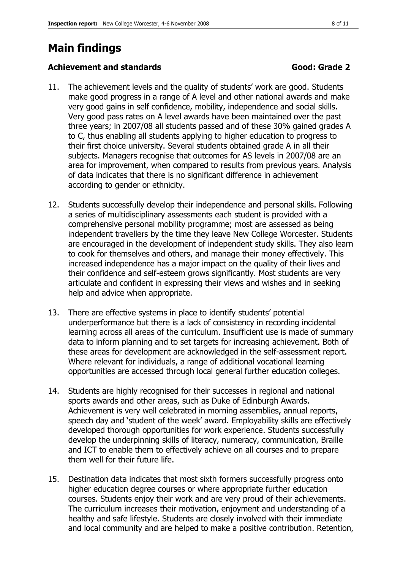# <span id="page-7-0"></span>**Main findings**

#### **Achievement and standards Good: Grade 2**

- 11. The achievement levels and the quality of students' work are good. Students make good progress in a range of A level and other national awards and make very good gains in self confidence, mobility, independence and social skills. Very good pass rates on A level awards have been maintained over the past three years; in 2007/08 all students passed and of these 30% gained grades A to C, thus enabling all students applying to higher education to progress to their first choice university. Several students obtained grade A in all their subjects. Managers recognise that outcomes for AS levels in 2007/08 are an area for improvement, when compared to results from previous years. Analysis of data indicates that there is no significant difference in achievement according to gender or ethnicity.
- 12. Students successfully develop their independence and personal skills. Following a series of multidisciplinary assessments each student is provided with a comprehensive personal mobility programme; most are assessed as being independent travellers by the time they leave New College Worcester. Students are encouraged in the development of independent study skills. They also learn to cook for themselves and others, and manage their money effectively. This increased independence has a major impact on the quality of their lives and their confidence and self-esteem grows significantly. Most students are very articulate and confident in expressing their views and wishes and in seeking help and advice when appropriate.
- 13. There are effective systems in place to identify students' potential underperformance but there is a lack of consistency in recording incidental learning across all areas of the curriculum. Insufficient use is made of summary data to inform planning and to set targets for increasing achievement. Both of these areas for development are acknowledged in the self-assessment report. Where relevant for individuals, a range of additional vocational learning opportunities are accessed through local general further education colleges.
- 14. Students are highly recognised for their successes in regional and national sports awards and other areas, such as Duke of Edinburgh Awards. Achievement is very well celebrated in morning assemblies, annual reports, speech day and 'student of the week' award. Employability skills are effectively developed thorough opportunities for work experience. Students successfully develop the underpinning skills of literacy, numeracy, communication, Braille and ICT to enable them to effectively achieve on all courses and to prepare them well for their future life.
- 15. Destination data indicates that most sixth formers successfully progress onto higher education degree courses or where appropriate further education courses. Students enjoy their work and are very proud of their achievements. The curriculum increases their motivation, enjoyment and understanding of a healthy and safe lifestyle. Students are closely involved with their immediate and local community and are helped to make a positive contribution. Retention,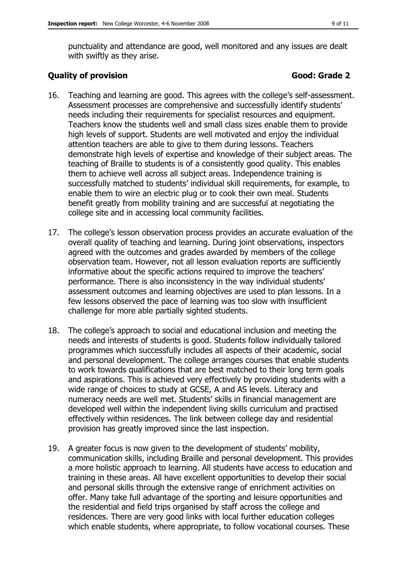punctuality and attendance are good, well monitored and any issues are dealt with swiftly as they arise.

#### **Quality of provision Good: Grade 2**

- 16. Teaching and learning are good. This agrees with the college's self-assessment. Assessment processes are comprehensive and successfully identify students' needs including their requirements for specialist resources and equipment. Teachers know the students well and small class sizes enable them to provide high levels of support. Students are well motivated and enjoy the individual attention teachers are able to give to them during lessons. Teachers demonstrate high levels of expertise and knowledge of their subject areas. The teaching of Braille to students is of a consistently good quality. This enables them to achieve well across all subject areas. Independence training is successfully matched to students' individual skill requirements, for example, to enable them to wire an electric plug or to cook their own meal. Students benefit greatly from mobility training and are successful at negotiating the college site and in accessing local community facilities.
- 17. The college's lesson observation process provides an accurate evaluation of the overall quality of teaching and learning. During joint observations, inspectors agreed with the outcomes and grades awarded by members of the college observation team. However, not all lesson evaluation reports are sufficiently informative about the specific actions required to improve the teachers' performance. There is also inconsistency in the way individual students' assessment outcomes and learning objectives are used to plan lessons. In a few lessons observed the pace of learning was too slow with insufficient challenge for more able partially sighted students.
- 18. The college's approach to social and educational inclusion and meeting the needs and interests of students is good. Students follow individually tailored programmes which successfully includes all aspects of their academic, social and personal development. The college arranges courses that enable students to work towards qualifications that are best matched to their long term goals and aspirations. This is achieved very effectively by providing students with a wide range of choices to study at GCSE, A and AS levels. Literacy and numeracy needs are well met. Students' skills in financial management are developed well within the independent living skills curriculum and practised effectively within residences. The link between college day and residential provision has greatly improved since the last inspection.
- 19. A greater focus is now given to the development of students' mobility, communication skills, including Braille and personal development. This provides a more holistic approach to learning. All students have access to education and training in these areas. All have excellent opportunities to develop their social and personal skills through the extensive range of enrichment activities on offer. Many take full advantage of the sporting and leisure opportunities and the residential and field trips organised by staff across the college and residences. There are very good links with local further education colleges which enable students, where appropriate, to follow vocational courses. These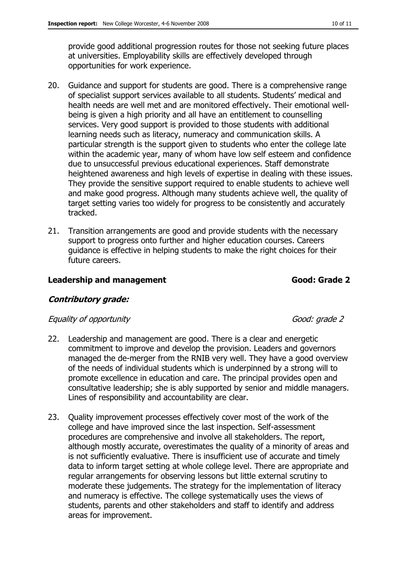provide good additional progression routes for those not seeking future places at universities. Employability skills are effectively developed through opportunities for work experience.

- 20. Guidance and support for students are good. There is a comprehensive range of specialist support services available to all students. Students' medical and health needs are well met and are monitored effectively. Their emotional wellbeing is given a high priority and all have an entitlement to counselling services. Very good support is provided to those students with additional learning needs such as literacy, numeracy and communication skills. A particular strength is the support given to students who enter the college late within the academic year, many of whom have low self esteem and confidence due to unsuccessful previous educational experiences. Staff demonstrate heightened awareness and high levels of expertise in dealing with these issues. They provide the sensitive support required to enable students to achieve well and make good progress. Although many students achieve well, the quality of target setting varies too widely for progress to be consistently and accurately tracked.
- 21. Transition arrangements are good and provide students with the necessary support to progress onto further and higher education courses. Careers guidance is effective in helping students to make the right choices for their future careers.

#### **Leadership and management Good: Grade 2**

#### **Contributory grade:**

#### Equality of opportunity Equality of opportunity

- 22. Leadership and management are good. There is a clear and energetic commitment to improve and develop the provision. Leaders and governors managed the de-merger from the RNIB very well. They have a good overview of the needs of individual students which is underpinned by a strong will to promote excellence in education and care. The principal provides open and consultative leadership; she is ably supported by senior and middle managers. Lines of responsibility and accountability are clear.
- 23. Quality improvement processes effectively cover most of the work of the college and have improved since the last inspection. Self-assessment procedures are comprehensive and involve all stakeholders. The report, although mostly accurate, overestimates the quality of a minority of areas and is not sufficiently evaluative. There is insufficient use of accurate and timely data to inform target setting at whole college level. There are appropriate and regular arrangements for observing lessons but little external scrutiny to moderate these judgements. The strategy for the implementation of literacy and numeracy is effective. The college systematically uses the views of students, parents and other stakeholders and staff to identify and address areas for improvement.